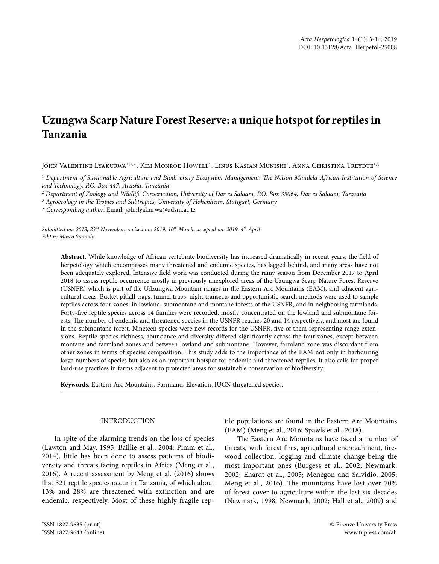# **Uzungwa Scarp Nature Forest Reserve: a unique hotspot for reptiles in Tanzania**

John Valentine Lyakurwa<sup>1,2,x</sup>, Kim Monroe Howell<sup>2</sup>, Linus Kasian Munishi<sup>1</sup>, Anna Christina Treydte<sup>1,3</sup>

1  *Department of Sustainable Agriculture and Biodiversity Ecosystem Management, The Nelson Mandela African Institution of Science and Technology, P.O. Box 447, Arusha, Tanzania*

2  *Department of Zoology and Wildlife Conservation, University of Dar es Salaam, P.O. Box 35064, Dar es Salaam, Tanzania*

3  *Agroecology in the Tropics and Subtropics, University of Hohenheim, Stuttgart, Germany*

*\* Corresponding author*. Email: johnlyakurwa@udsm.ac.tz

*Submitted on: 2018, 23rd November; revised on: 2019, 10th March; accepted on: 2019, 4th April Editor: Marco Sannolo*

**Abstract.** While knowledge of African vertebrate biodiversity has increased dramatically in recent years, the field of herpetology which encompasses many threatened and endemic species, has lagged behind, and many areas have not been adequately explored. Intensive field work was conducted during the rainy season from December 2017 to April 2018 to assess reptile occurrence mostly in previously unexplored areas of the Uzungwa Scarp Nature Forest Reserve (USNFR) which is part of the Udzungwa Mountain ranges in the Eastern Arc Mountains (EAM), and adjacent agricultural areas. Bucket pitfall traps, funnel traps, night transects and opportunistic search methods were used to sample reptiles across four zones: in lowland, submontane and montane forests of the USNFR, and in neighboring farmlands. Forty-five reptile species across 14 families were recorded, mostly concentrated on the lowland and submontane forests. The number of endemic and threatened species in the USNFR reaches 20 and 14 respectively, and most are found in the submontane forest. Nineteen species were new records for the USNFR, five of them representing range extensions. Reptile species richness, abundance and diversity differed significantly across the four zones, except between montane and farmland zones and between lowland and submontane. However, farmland zone was discordant from other zones in terms of species composition. This study adds to the importance of the EAM not only in harbouring large numbers of species but also as an important hotspot for endemic and threatened reptiles. It also calls for proper land-use practices in farms adjacent to protected areas for sustainable conservation of biodiversity.

**Keywords.** Eastern Arc Mountains, Farmland, Elevation, IUCN threatened species.

#### INTRODUCTION

In spite of the alarming trends on the loss of species (Lawton and May, 1995; Baillie et al., 2004; Pimm et al., 2014), little has been done to assess patterns of biodiversity and threats facing reptiles in Africa (Meng et al., 2016). A recent assessment by Meng et al. (2016) shows that 321 reptile species occur in Tanzania, of which about 13% and 28% are threatened with extinction and are endemic, respectively. Most of these highly fragile reptile populations are found in the Eastern Arc Mountains (EAM) (Meng et al., 2016; Spawls et al., 2018).

The Eastern Arc Mountains have faced a number of threats, with forest fires, agricultural encroachment, firewood collection, logging and climate change being the most important ones (Burgess et al., 2002; Newmark, 2002; Ehardt et al., 2005; Menegon and Salvidio, 2005; Meng et al., 2016). The mountains have lost over 70% of forest cover to agriculture within the last six decades (Newmark, 1998; Newmark, 2002; Hall et al., 2009) and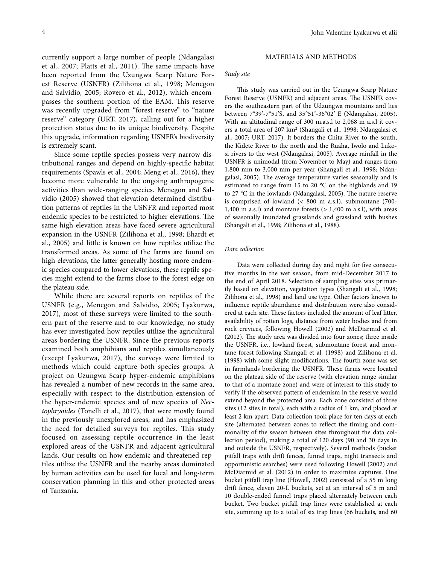currently support a large number of people (Ndangalasi et al., 2007; Platts et al., 2011). The same impacts have been reported from the Uzungwa Scarp Nature Forest Reserve (USNFR) (Zilihona et al., 1998; Menegon and Salvidio, 2005; Rovero et al., 2012), which encompasses the southern portion of the EAM. This reserve was recently upgraded from "forest reserve" to "nature reserve" category (URT, 2017), calling out for a higher protection status due to its unique biodiversity. Despite this upgrade, information regarding USNFR's biodiversity is extremely scant.

Since some reptile species possess very narrow distributional ranges and depend on highly-specific habitat requirements (Spawls et al., 2004; Meng et al., 2016), they become more vulnerable to the ongoing anthropogenic activities than wide-ranging species. Menegon and Salvidio (2005) showed that elevation determined distribution patterns of reptiles in the USNFR and reported most endemic species to be restricted to higher elevations. The same high elevation areas have faced severe agricultural expansion in the USNFR (Zilihona et al., 1998; Ehardt et al., 2005) and little is known on how reptiles utilize the transformed areas. As some of the farms are found on high elevations, the latter generally hosting more endemic species compared to lower elevations, these reptile species might extend to the farms close to the forest edge on the plateau side.

While there are several reports on reptiles of the USNFR (e.g., Menegon and Salvidio, 2005; Lyakurwa, 2017), most of these surveys were limited to the southern part of the reserve and to our knowledge, no study has ever investigated how reptiles utilize the agricultural areas bordering the USNFR. Since the previous reports examined both amphibians and reptiles simultaneously (except Lyakurwa, 2017), the surveys were limited to methods which could capture both species groups. A project on Uzungwa Scarp hyper-endemic amphibians has revealed a number of new records in the same area, especially with respect to the distribution extension of the hyper-endemic species and of new species of *Nectophryoides* (Tonelli et al., 2017), that were mostly found in the previously unexplored areas, and has emphasized the need for detailed surveys for reptiles. This study focused on assessing reptile occurrence in the least explored areas of the USNFR and adjacent agricultural lands. Our results on how endemic and threatened reptiles utilize the USNFR and the nearby areas dominated by human activities can be used for local and long-term conservation planning in this and other protected areas of Tanzania.

# MATERIALS AND METHODS

#### *Study site*

This study was carried out in the Uzungwa Scarp Nature Forest Reserve (USNFR) and adjacent areas. The USNFR covers the southeastern part of the Udzungwa mountains and lies between 7°39'-7°51'S, and 35°51'-36°02' E (Ndangalasi, 2005). With an altitudinal range of 300 m.a.s.l to 2,068 m a.s.l it covers a total area of 207 km2 (Shangali et al., 1998; Ndangalasi et al., 2007; URT, 2017). It borders the Chita River to the south, the Kidete River to the north and the Ruaha, Iwolo and Lukosi rivers to the west (Ndangalasi, 2005). Average rainfall in the USNFR is unimodal (from November to May) and ranges from 1,800 mm to 3,000 mm per year (Shangali et al., 1998; Ndangalasi, 2005). The average temperature varies seasonally and is estimated to range from 15 to 20 °C on the highlands and 19 to 27 °C in the lowlands (Ndangalasi, 2005). The nature reserve is comprised of lowland (< 800 m a.s.l), submontane (700- 1,400 m a.s.l) and montane forests  $(> 1,400 \text{ m a.s.}$ l), with areas of seasonally inundated grasslands and grassland with bushes (Shangali et al., 1998; Zilihona et al., 1988).

## *Data collection*

Data were collected during day and night for five consecutive months in the wet season, from mid-December 2017 to the end of April 2018. Selection of sampling sites was primarily based on elevation, vegetation types (Shangali et al., 1998; Zilihona et al., 1998) and land use type. Other factors known to influence reptile abundance and distribution were also considered at each site. These factors included the amount of leaf litter, availability of rotten logs, distance from water bodies and from rock crevices, following Howell (2002) and McDiarmid et al*.*  (2012). The study area was divided into four zones; three inside the USNFR, i.e., lowland forest, submontane forest and montane forest following Shangali et al*.* (1998) and Zilihona et al. (1998) with some slight modifications. The fourth zone was set in farmlands bordering the USNFR. These farms were located on the plateau side of the reserve (with elevation range similar to that of a montane zone) and were of interest to this study to verify if the observed pattern of endemism in the reserve would extend beyond the protected area. Each zone consisted of three sites (12 sites in total), each with a radius of 1 km, and placed at least 2 km apart. Data collection took place for ten days at each site (alternated between zones to reflect the timing and commonality of the season between sites throughout the data collection period), making a total of 120 days (90 and 30 days in and outside the USNFR, respectively). Several methods (bucket pitfall traps with drift fences, funnel traps, night transects and opportunistic searches) were used following Howell (2002) and McDiarmid et al. (2012) in order to maximize captures. One bucket pitfall trap line (Howell, 2002) consisted of a 55 m long drift fence, eleven 20-L buckets, set at an interval of 5 m and 10 double-ended funnel traps placed alternately between each bucket. Two bucket pitfall trap lines were established at each site, summing up to a total of six trap lines (66 buckets, and 60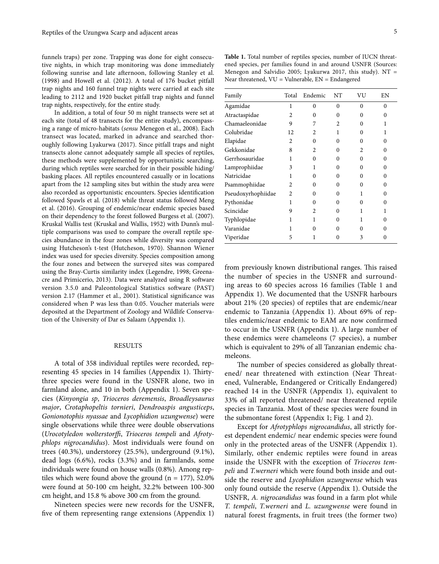funnels traps) per zone. Trapping was done for eight consecutive nights, in which trap monitoring was done immediately following sunrise and late afternoon, following Stanley et al. (1998) and Howell et al. (2012). A total of 176 bucket pitfall trap nights and 160 funnel trap nights were carried at each site leading to 2112 and 1920 bucket pitfall trap nights and funnel trap nights, respectively, for the entire study.

In addition, a total of four 50 m night transects were set at each site (total of 48 transects for the entire study), encompassing a range of micro-habitats (*sensu* Menegon et al., 2008). Each transect was located, marked in advance and searched thoroughly following Lyakurwa (2017). Since pitfall traps and night transects alone cannot adequately sample all species of reptiles, these methods were supplemented by opportunistic searching, during which reptiles were searched for in their possible hiding/ basking places. All reptiles encountered casually or in locations apart from the 12 sampling sites but within the study area were also recorded as opportunistic encounters. Species identification followed Spawls et al. (2018) while threat status followed Meng et al. (2016). Grouping of endemic/near endemic species based on their dependency to the forest followed Burgess et al. (2007). Kruskal Wallis test (Kruskal and Wallis, 1952) with Dunn's multiple comparisons was used to compare the overall reptile species abundance in the four zones while diversity was compared using Hutcheson's t-test (Hutcheson, 1970). Shannon Wiener index was used for species diversity. Species composition among the four zones and between the surveyed sites was compared using the Bray-Curtis similarity index (Legendre, 1998; Greenacre and Primicerio, 2013). Data were analyzed using R software version 3.5.0 and Paleontological Statistics software (PAST) version 2.17 (Hammer et al., 2001). Statistical significance was considered when P was less than 0.05. Voucher materials were deposited at the Department of Zoology and Wildlife Conservation of the University of Dar es Salaam (Appendix 1).

#### RESULTS

A total of 358 individual reptiles were recorded, representing 45 species in 14 families (Appendix 1). Thirtythree species were found in the USNFR alone, two in farmland alone, and 10 in both (Appendix 1). Seven species (*Kinyongia sp*, *Trioceros deremensis*, *Broadleysaurus major*, *Crotaphopeltis tornieri*, *Dendroaspis angusticeps*, *Gonionotophis nyassae* and *Lycophidion uzungwense*) were single observations while three were double observations (*Urocotyledon wolterstorffi*, *Trioceros tempeli* and *Afrotyphlops nigrocandidus*). Most individuals were found on trees (40.3%), understorey (25.5%), underground (9.1%), dead logs (6.6%), rocks (3.3%) and in farmlands, some individuals were found on house walls (0.8%). Among reptiles which were found above the ground  $(n = 177)$ , 52.0% were found at 50-100 cm height, 32.2% between 100-300 cm height, and 15.8 % above 300 cm from the ground.

Nineteen species were new records for the USNFR, five of them representing range extensions (Appendix 1)

Table 1. Total number of reptiles species, number of IUCN threatened species, per families found in and around USNFR (Sources: Menegon and Salvidio 2005; Lyakurwa 2017, this study).  $NT =$ Near threatened,  $VU =$  Vulnerable,  $EN =$  Endangered

| Family             | Total          | Endemic        | NT             | VU             | ΕN       |
|--------------------|----------------|----------------|----------------|----------------|----------|
| Agamidae           | 1              | $\theta$       | $\theta$       | $\Omega$       | $\Omega$ |
| Atractaspidae      | $\mathfrak{D}$ | 0              | $\Omega$       | 0              | 0        |
| Chamaeleonidae     | 9              | 7              | $\mathfrak{D}$ | O              | 1        |
| Colubridae         | 12             | 2              | 1              | 0              | 1        |
| Elapidae           | $\overline{c}$ | $\Omega$       | 0              | 0              | 0        |
| Gekkonidae         | 8              | $\overline{c}$ | $\Omega$       | $\mathfrak{D}$ | $\Omega$ |
| Gerrhosauridae     | 1              | $\Omega$       | $\Omega$       | $\Omega$       | $\Omega$ |
| Lamprophiidae      | 3              | 1              | $\Omega$       | 0              | $\Omega$ |
| Natricidae         | 1              | $\Omega$       | $\Omega$       | 0              | $\Omega$ |
| Psammophiidae      | $\mathfrak{D}$ | $\Omega$       | 0              | 0              | $\Omega$ |
| Pseudoxyrhophiidae | $\mathfrak{D}$ | $\Omega$       | 0              |                | $\Omega$ |
| Pythonidae         | 1              | $\Omega$       | 0              | 0              | 0        |
| Scincidae          | 9              | $\overline{c}$ | 0              | 1              | 1        |
| Typhlopidae        | 1              | 1              | $\Omega$       | 1              | $\Omega$ |
| Varanidae          |                | 0              | 0              | 0              | O        |
| Viperidae          | 5              |                | 0              | 3              | O        |

from previously known distributional ranges. This raised the number of species in the USNFR and surrounding areas to 60 species across 16 families (Table 1 and Appendix 1). We documented that the USNFR harbours about 21% (20 species) of reptiles that are endemic/near endemic to Tanzania (Appendix 1). About 69% of reptiles endemic/near endemic to EAM are now confirmed to occur in the USNFR (Appendix 1). A large number of these endemics were chameleons (7 species), a number which is equivalent to 29% of all Tanzanian endemic chameleons.

The number of species considered as globally threatened/ near threatened with extinction (Near Threatened, Vulnerable, Endangered or Critically Endangered) reached 14 in the USNFR (Appendix 1), equivalent to 33% of all reported threatened/ near threatened reptile species in Tanzania. Most of these species were found in the submontane forest (Appendix 1; Fig. 1 and 2).

Except for *Afrotyphlops nigrocandidus*, all strictly forest dependent endemic/ near endemic species were found only in the protected areas of the USNFR (Appendix 1). Similarly, other endemic reptiles were found in areas inside the USNFR with the exception of *Trioceros tempeli* and *T.werneri* which were found both inside and outside the reserve and *Lycophidion uzungwense* which was only found outside the reserve (Appendix 1). Outside the USNFR, *A. nigrocandidus* was found in a farm plot while *T. tempeli*, *T.werneri* and *L. uzungwense* were found in natural forest fragments, in fruit trees (the former two)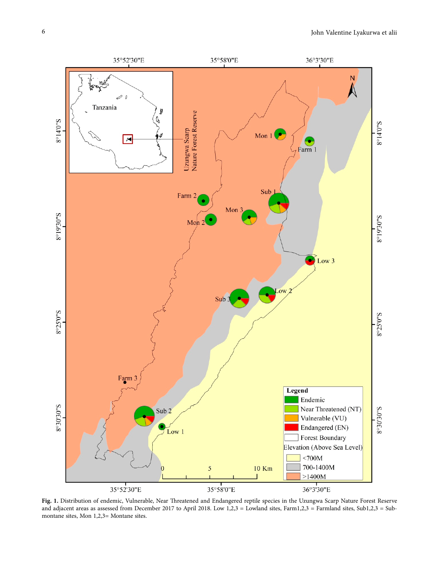

**Fig. 1.** Distribution of endemic, Vulnerable, Near Threatened and Endangered reptile species in the Uzungwa Scarp Nature Forest Reserve and adjacent areas as assessed from December 2017 to April 2018. Low 1,2,3 = Lowland sites, Farm1,2,3 = Farmland sites, Sub1,2,3 = Submontane sites, Mon 1,2,3= Montane sites.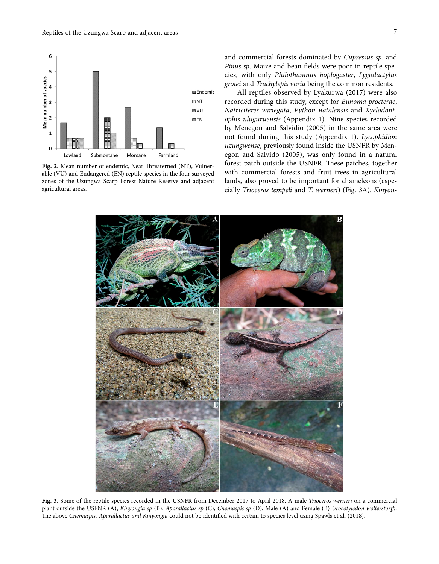

**Fig. 2.** Mean number of endemic, Near Threaterned (NT), Vulnerable (VU) and Endangered (EN) reptile species in the four surveyed zones of the Uzungwa Scarp Forest Nature Reserve and adjacent agricultural areas.

and commercial forests dominated by *Cupressus sp.* and *Pinus sp*. Maize and bean fields were poor in reptile species, with only *Philothamnus hoplogaster*, *Lygodactylus grotei* and *Trachylepis varia* being the common residents.

All reptiles observed by Lyakurwa (2017) were also recorded during this study, except for *Buhoma procterae*, *Natriciteres variegata*, *Python natalensis* and *Xyelodontophis uluguruensis* (Appendix 1). Nine species recorded by Menegon and Salvidio (2005) in the same area were not found during this study (Appendix 1). *Lycophidion uzungwense*, previously found inside the USNFR by Menegon and Salvido (2005), was only found in a natural forest patch outside the USNFR. These patches, together with commercial forests and fruit trees in agricultural lands, also proved to be important for chameleons (especially *Trioceros tempeli* and *T. werneri*) (Fig. 3A). *Kinyon-*



**Fig. 3.** Some of the reptile species recorded in the USNFR from December 2017 to April 2018. A male *Trioceros werneri* on a commercial plant outside the USFNR (A), *Kinyongia sp* (B), *Aparallactus sp* (C), *Cnemaspis sp* (D), Male (A) and Female (B) *Urocotyledon wolterstorffi*. The above *Cnemaspis, Aparallactus and Kinyongia* could not be identified with certain to species level using Spawls et al. (2018).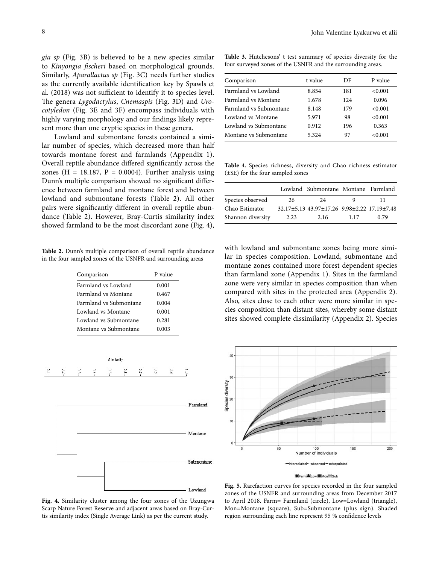*gia sp* (Fig. 3B) is believed to be a new species similar to *Kinyongia fischeri* based on morphological grounds. Similarly, *Aparallactus sp* (Fig. 3C) needs further studies as the currently available identification key by Spawls et al. (2018) was not sufficient to identify it to species level. The genera *Lygodactylus*, *Cnemaspis* (Fig. 3D) and *Urocotyledon* (Fig. 3E and 3F) encompass individuals with highly varying morphology and our findings likely represent more than one cryptic species in these genera.

Lowland and submontane forests contained a similar number of species, which decreased more than half towards montane forest and farmlands (Appendix 1). Overall reptile abundance differed significantly across the zones (H = 18.187, P = 0.0004). Further analysis using Dunn's multiple comparison showed no significant difference between farmland and montane forest and between lowland and submontane forests (Table 2). All other pairs were significantly different in overall reptile abundance (Table 2). However, Bray-Curtis similarity index showed farmland to be the most discordant zone (Fig. 4),

**Table 2.** Dunn's multiple comparison of overall reptile abundance in the four sampled zones of the USNFR and surrounding areas

| P value |
|---------|
| 0.001   |
| 0.467   |
| 0.004   |
| 0.001   |
| 0.281   |
| 0.003   |
|         |



**Table 3.** Hutchesons' t test summary of species diversity for the four surveyed zones of the USNFR and the surrounding areas.

| Comparison             | t value | DF  | P value |
|------------------------|---------|-----|---------|
| Farmland vs Lowland    | 8.854   | 181 | < 0.001 |
| Farmland vs Montane    | 1.678   | 124 | 0.096   |
| Farmland vs Submontane | 8.148   | 179 | < 0.001 |
| Lowland vs Montane     | 5.971   | 98  | < 0.001 |
| Lowland vs Submontane  | 0.912   | 196 | 0.363   |
| Montane vs Submontane  | 5.324   | 97  | < 0.001 |

**Table 4.** Species richness, diversity and Chao richness estimator (±SE) for the four sampled zones

|                   |      | Lowland Submontane Montane Farmland         |      |      |
|-------------------|------|---------------------------------------------|------|------|
| Species observed  | 26   | 24                                          |      |      |
| Chao Estimator    |      | 32.17±5.13 43.97±17.26 9.98±2.22 17.19±7.48 |      |      |
| Shannon diversity | 2.23 | 2.16                                        | 1.17 | 0.79 |

with lowland and submontane zones being more similar in species composition. Lowland, submontane and montane zones contained more forest dependent species than farmland zone (Appendix 1). Sites in the farmland zone were very similar in species composition than when compared with sites in the protected area (Appendix 2). Also, sites close to each other were more similar in species composition than distant sites, whereby some distant sites showed complete dissimilarity (Appendix 2). Species



**Fig. 4.** Similarity cluster among the four zones of the Uzungwa Scarp Nature Forest Reserve and adjacent areas based on Bray-Curtis similarity index (Single Average Link) as per the current study.

**Fig. 5.** Rarefaction curves for species recorded in the four sampled zones of the USNFR and surrounding areas from December 2017 to April 2018. Farm= Farmland (circle), Low=Lowland (triangle), Mon=Montane (square), Sub=Submontane (plus sign). Shaded region surrounding each line represent 95 % confidence levels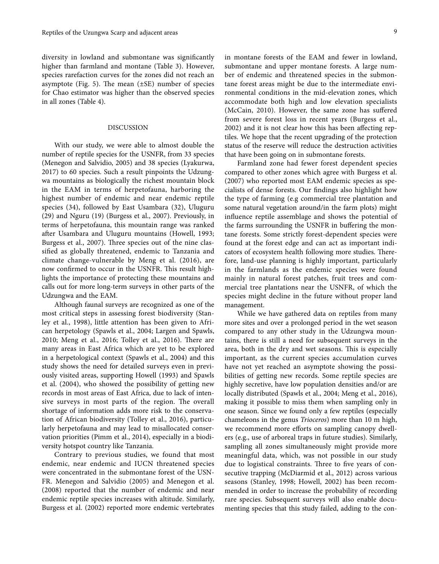diversity in lowland and submontane was significantly higher than farmland and montane (Table 3). However, species rarefaction curves for the zones did not reach an asymptote (Fig. 5). The mean  $(\pm SE)$  number of species for Chao estimator was higher than the observed species in all zones (Table 4).

## DISCUSSION

With our study, we were able to almost double the number of reptile species for the USNFR, from 33 species (Menegon and Salvidio, 2005) and 38 species (Lyakurwa, 2017) to 60 species. Such a result pinpoints the Udzungwa mountains as biologically the richest mountain block in the EAM in terms of herpetofauna, harboring the highest number of endemic and near endemic reptile species (34), followed by East Usambara (32), Uluguru (29) and Nguru (19) (Burgess et al., 2007). Previously, in terms of herpetofauna, this mountain range was ranked after Usambara and Uluguru mountains (Howell, 1993; Burgess et al., 2007). Three species out of the nine classified as globally threatened, endemic to Tanzania and climate change-vulnerable by Meng et al. (2016), are now confirmed to occur in the USNFR. This result highlights the importance of protecting these mountains and calls out for more long-term surveys in other parts of the Udzungwa and the EAM.

Although faunal surveys are recognized as one of the most critical steps in assessing forest biodiversity (Stanley et al., 1998), little attention has been given to African herpetology (Spawls et al., 2004; Largen and Spawls, 2010; Meng et al., 2016; Tolley et al., 2016). There are many areas in East Africa which are yet to be explored in a herpetological context (Spawls et al., 2004) and this study shows the need for detailed surveys even in previously visited areas, supporting Howell (1993) and Spawls et al. (2004), who showed the possibility of getting new records in most areas of East Africa, due to lack of intensive surveys in most parts of the region. The overall shortage of information adds more risk to the conservation of African biodiversity (Tolley et al., 2016), particularly herpetofauna and may lead to misallocated conservation priorities (Pimm et al., 2014), especially in a biodiversity hotspot country like Tanzania.

Contrary to previous studies, we found that most endemic, near endemic and IUCN threatened species were concentrated in the submontane forest of the USN-FR. Menegon and Salvidio (2005) and Menegon et al. (2008) reported that the number of endemic and near endemic reptile species increases with altitude. Similarly, Burgess et al. (2002) reported more endemic vertebrates in montane forests of the EAM and fewer in lowland, submontane and upper montane forests. A large number of endemic and threatened species in the submontane forest areas might be due to the intermediate environmental conditions in the mid-elevation zones, which accommodate both high and low elevation specialists (McCain, 2010). However, the same zone has suffered from severe forest loss in recent years (Burgess et al., 2002) and it is not clear how this has been affecting reptiles. We hope that the recent upgrading of the protection status of the reserve will reduce the destruction activities that have been going on in submontane forests.

Farmland zone had fewer forest dependent species compared to other zones which agree with Burgess et al. (2007) who reported most EAM endemic species as specialists of dense forests. Our findings also highlight how the type of farming (e.g commercial tree plantation and some natural vegetation around/in the farm plots) might influence reptile assemblage and shows the potential of the farms surrounding the USNFR in buffering the montane forests. Some strictly forest-dependent species were found at the forest edge and can act as important indicators of ecosystem health following more studies. Therefore, land-use planning is highly important, particularly in the farmlands as the endemic species were found mainly in natural forest patches, fruit trees and commercial tree plantations near the USNFR, of which the species might decline in the future without proper land management.

While we have gathered data on reptiles from many more sites and over a prolonged period in the wet season compared to any other study in the Udzungwa mountains, there is still a need for subsequent surveys in the area, both in the dry and wet seasons. This is especially important, as the current species accumulation curves have not yet reached an asymptote showing the possibilities of getting new records. Some reptile species are highly secretive, have low population densities and/or are locally distributed (Spawls et al., 2004; Meng et al., 2016), making it possible to miss them when sampling only in one season. Since we found only a few reptiles (especially chameleons in the genus *Trioceros*) more than 10 m high, we recommend more efforts on sampling canopy dwellers (e.g., use of arboreal traps in future studies). Similarly, sampling all zones simultaneously might provide more meaningful data, which, was not possible in our study due to logistical constraints. Three to five years of consecutive trapping (McDiarmid et al., 2012) across various seasons (Stanley, 1998; Howell, 2002) has been recommended in order to increase the probability of recording rare species. Subsequent surveys will also enable documenting species that this study failed, adding to the con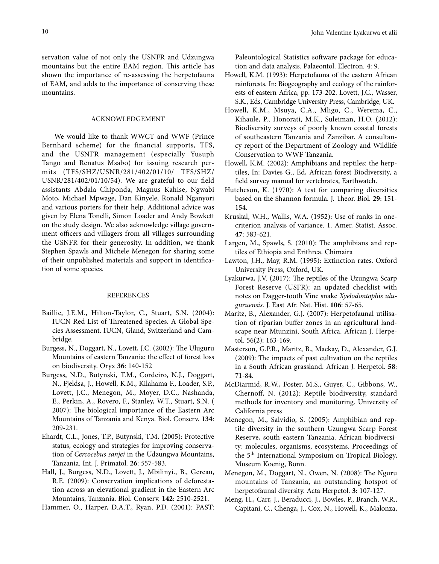servation value of not only the USNFR and Udzungwa mountains but the entire EAM region. This article has shown the importance of re-assessing the herpetofauna of EAM, and adds to the importance of conserving these mountains.

## ACKNOWLEDGEMENT

We would like to thank WWCT and WWF (Prince Bernhard scheme) for the financial supports, TFS, and the USNFR management (especially Yusuph Tango and Renatus Msabo) for issuing research permits (TFS/SHZ/USNR/281/402/01/10/ TFS/SHZ/ USNR/281/402/01/10/54). We are grateful to our field assistants Abdala Chiponda, Magnus Kahise, Ngwabi Moto, Michael Mpwage, Dan Kinyele, Ronald Nganyori and various porters for their help. Additional advice was given by Elena Tonelli, Simon Loader and Andy Bowkett on the study design. We also acknowledge village government officers and villagers from all villages surrounding the USNFR for their generosity. In addition, we thank Stephen Spawls and Michele Menegon for sharing some of their unpublished materials and support in identification of some species.

## REFERENCES

- Baillie, J.E.M., Hilton-Taylor, C., Stuart, S.N. (2004): IUCN Red List of Threatened Species. A Global Species Assessment. IUCN, Gland, Switzerland and Cambridge.
- Burgess, N., Doggart, N., Lovett, J.C. (2002): The Uluguru Mountains of eastern Tanzania: the effect of forest loss on biodiversity. Oryx **36**: 140-152
- Burgess, N.D., Butynski, T.M., Cordeiro, N.J., Doggart, N., Fjeldsa, J., Howell, K.M., Kilahama F., Loader, S.P., Lovett, J.C., Menegon, M., Moyer, D.C., Nashanda, E., Perkin, A., Rovero, F., Stanley, W.T., Stuart, S.N. ( 2007): The biological importance of the Eastern Arc Mountains of Tanzania and Kenya. Biol. Conserv. **134**: 209-231.
- Ehardt, C.L., Jones, T.P., Butynski, T.M. (2005): Protective status, ecology and strategies for improving conservation of *Cercocebus sanjei* in the Udzungwa Mountains, Tanzania. Int. J. Primatol. **26**: 557-583.
- Hall, J., Burgess, N.D., Lovett, J., Mbilinyi., B., Gereau, R.E. (2009): Conservation implications of deforestation across an elevational gradient in the Eastern Arc Mountains, Tanzania. Biol. Conserv. **142**: 2510-2521.

Hammer, O., Harper, D.A.T., Ryan, P.D. (2001): PAST:

Paleontological Statistics software package for education and data analysis. Palaeontol. Electron. **4**: 9.

- Howell, K.M. (1993): Herpetofauna of the eastern African rainforests. In: Biogeography and ecology of the rainforests of eastern Africa, pp. 173-202. Lovett, J.C., Wasser, S.K., Eds, Cambridge University Press, Cambridge, UK.
- Howell, K.M., Msuya, C.A., Mligo, C., Werema, C., Kihaule, P., Honorati, M.K., Suleiman, H.O. (2012): Biodiversity surveys of poorly known coastal forests of southeastern Tanzania and Zanzibar. A consultancy report of the Department of Zoology and Wildlife Conservation to WWF Tanzania.
- Howell, K.M. (2002): Amphibians and reptiles: the herptiles, In: Davies G., Ed, African forest Biodiversity, a field survey manual for vertebrates, Earthwatch.
- Hutcheson, K. (1970): A test for comparing diversities based on the Shannon formula. J. Theor. Biol. **29**: 151- 154.
- Kruskal, W.H., Wallis, W.A. (1952): Use of ranks in onecriterion analysis of variance. 1. Amer. Statist. Assoc. **47**: 583-621.
- Largen, M., Spawls, S. (2010): The amphibians and reptiles of Ethiopia and Erithrea. Chimaira
- Lawton, J.H., May, R.M. (1995): Extinction rates. Oxford University Press, Oxford, UK.
- Lyakurwa, J.V. (2017): The reptiles of the Uzungwa Scarp Forest Reserve (USFR): an updated checklist with notes on Dagger-tooth Vine snake *Xyelodontophis uluguruensis*. J. East Afr. Nat. Hist. **106**: 57-65.
- Maritz, B., Alexander, G.J. (2007): Herpetofaunal utilisation of riparian buffer zones in an agricultural landscape near Mtunzini, South Africa. African J. Herpetol. 56(2): 163-169.
- Masterson, G.P.R., Maritz, B., Mackay, D., Alexander, G.J. (2009): The impacts of past cultivation on the reptiles in a South African grassland. African J. Herpetol. **58**: 71-84.
- McDiarmid, R.W., Foster, M.S., Guyer, C., Gibbons, W., Chernoff, N. (2012): Reptile biodiversity, standard methods for inventory and monitoring. University of California press
- Menegon, M., Salvidio, S. (2005): Amphibian and reptile diversity in the southern Uzungwa Scarp Forest Reserve, south-eastern Tanzania. African biodiversity: molecules, organisms, ecosystems. Proceedings of the 5th International Symposium on Tropical Biology, Museum Koenig, Bonn.
- Menegon, M., Doggart, N., Owen, N. (2008): The Nguru mountains of Tanzania, an outstanding hotspot of herpetofaunal diversity. Acta Herpetol. **3**: 107-127.
- Meng, H., Carr, J., Beraducci, J., Bowles, P., Branch, W.R., Capitani, C., Chenga, J., Cox, N., Howell, K., Malonza,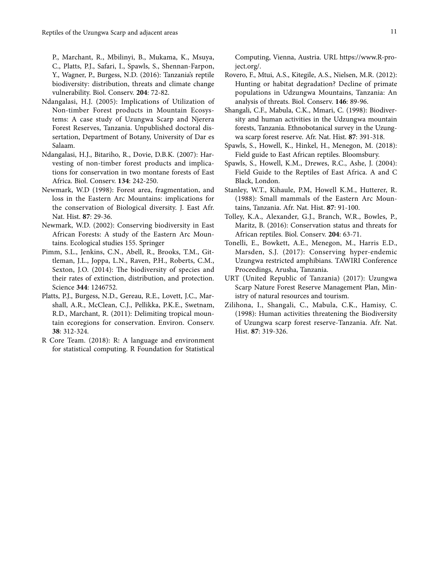P., Marchant, R., Mbilinyi, B., Mukama, K., Msuya, C., Platts, P.J., Safari, I., Spawls, S., Shennan-Farpon, Y., Wagner, P., Burgess, N.D. (2016): Tanzania's reptile biodiversity: distribution, threats and climate change vulnerability. Biol. Conserv. **204**: 72-82.

- Ndangalasi, H.J. (2005): Implications of Utilization of Non-timber Forest products in Mountain Ecosystems: A case study of Uzungwa Scarp and Njerera Forest Reserves, Tanzania. Unpublished doctoral dissertation, Department of Botany, University of Dar es Salaam.
- Ndangalasi, H.J., Bitariho, R., Dovie, D.B.K. (2007): Harvesting of non-timber forest products and implications for conservation in two montane forests of East Africa. Biol. Conserv. **134**: 242-250.
- Newmark, W.D (1998): Forest area, fragmentation, and loss in the Eastern Arc Mountains: implications for the conservation of Biological diversity. J. East Afr. Nat. Hist. **87**: 29-36.
- Newmark, W.D. (2002): Conserving biodiversity in East African Forests: A study of the Eastern Arc Mountains. Ecological studies 155. Springer
- Pimm, S.L., Jenkins, C.N., Abell, R., Brooks, T.M., Gittleman, J.L., Joppa, L.N., Raven, P.H., Roberts, C.M., Sexton, J.O. (2014): The biodiversity of species and their rates of extinction, distribution, and protection. Science **344**: 1246752.
- Platts, P.J., Burgess, N.D., Gereau, R.E., Lovett, J.C., Marshall, A.R., McClean, C.J., Pellikka, P.K.E., Swetnam, R.D., Marchant, R. (2011): Delimiting tropical mountain ecoregions for conservation. Environ. Conserv. **38**: 312-324.
- R Core Team. (2018): R: A language and environment for statistical computing. R Foundation for Statistical

Computing, Vienna, Austria. URL https://www.R-project.org/.

- Rovero, F., Mtui, A.S., Kitegile, A.S., Nielsen, M.R. (2012): Hunting or habitat degradation? Decline of primate populations in Udzungwa Mountains, Tanzania: An analysis of threats. Biol. Conserv. **146**: 89-96.
- Shangali, C.F., Mabula, C.K., Mmari, C. (1998): Biodiversity and human activities in the Udzungwa mountain forests, Tanzania. Ethnobotanical survey in the Uzungwa scarp forest reserve. Afr. Nat. Hist. **87**: 391-318.
- Spawls, S., Howell, K., Hinkel, H., Menegon, M. (2018): Field guide to East African reptiles. Bloomsbury.
- Spawls, S., Howell, K.M., Drewes, R.C., Ashe, J. (2004): Field Guide to the Reptiles of East Africa. A and C Black, London.
- Stanley, W.T., Kihaule, P.M, Howell K.M., Hutterer, R. (1988): Small mammals of the Eastern Arc Mountains, Tanzania. Afr. Nat. Hist. **87**: 91-100.
- Tolley, K.A., Alexander, G.J., Branch, W.R., Bowles, P., Maritz, B. (2016): Conservation status and threats for African reptiles. Biol. Conserv. **204**: 63-71.
- Tonelli, E., Bowkett, A.E., Menegon, M., Harris E.D., Marsden, S.J. (2017): Conserving hyper-endemic Uzungwa restricted amphibians. TAWIRI Conference Proceedings, Arusha, Tanzania.
- URT (United Republic of Tanzania) (2017): Uzungwa Scarp Nature Forest Reserve Management Plan, Ministry of natural resources and tourism.
- Zilihona, I., Shangali, C., Mabula, C.K., Hamisy, C. (1998): Human activities threatening the Biodiversity of Uzungwa scarp forest reserve-Tanzania. Afr. Nat. Hist. **87**: 319-326.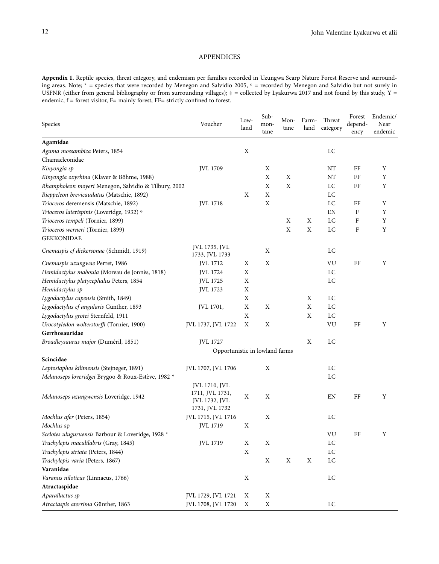## APPENDICES

**Appendix 1.** Reptile species, threat category, and endemism per families recorded in Uzungwa Scarp Nature Forest Reserve and surrounding areas. Note; \* = species that were recorded by Menegon and Salvidio 2005, \* = recorded by Menegon and Salvidio but not surely in USFNR (either from general bibliography or from surrounding villages);  $\ddot{=}$  = collected by Lyakurwa 2017 and not found by this study, Y = endemic,  $f =$  forest visitor,  $F =$  mainly forest,  $FF =$  strictly confined to forest.

| Species                                              | Voucher                                            | Low-<br>land | Sub-<br>mon-<br>tane | Mon-<br>tane | Farm-<br>land | Threat<br>category | Forest<br>depend-<br>ency | Endemic/<br>Near<br>endemic |
|------------------------------------------------------|----------------------------------------------------|--------------|----------------------|--------------|---------------|--------------------|---------------------------|-----------------------------|
| Agamidae                                             |                                                    |              |                      |              |               |                    |                           |                             |
| Agama mossambica Peters, 1854                        |                                                    | $\mathbf X$  |                      |              |               | LC                 |                           |                             |
| Chamaeleonidae                                       |                                                    |              |                      |              |               |                    |                           |                             |
| Kinyongia sp                                         | JVL 1709                                           |              | $\mathbf X$          |              |               | NT                 | FF                        | Y                           |
| Kinyongia oxyrhina (Klaver & Böhme, 1988)            |                                                    |              | $\mathbf X$          | $\mathbf X$  |               | NT                 | FF                        | Y                           |
| Rhampholeon moyeri Menegon, Salvidio & Tilbury, 2002 |                                                    |              | $\mathbf X$          | $\mathbf X$  |               | LC                 | FF                        | Y                           |
| Rieppeleon brevicaudatus (Matschie, 1892)            |                                                    | $\mathbf X$  | $\mathbf X$          |              |               | LC                 |                           |                             |
| Trioceros deremensis (Matschie, 1892)                | <b>JVL 1718</b>                                    |              | $\mathbf X$          |              |               | LC                 | FF                        | Y                           |
| Trioceros laterispinis (Loveridge, 1932) ®           |                                                    |              |                      |              |               | EN                 | F                         | Y                           |
| Trioceros tempeli (Tornier, 1899)                    |                                                    |              |                      | X            | $\mathbf X$   | LC                 | F                         | $\mathbf Y$                 |
| Trioceros werneri (Tornier, 1899)                    |                                                    |              |                      | $\mathbf X$  | $\mathbf X$   | LC                 | F                         | Y                           |
| <b>GEKKONIDAE</b>                                    |                                                    |              |                      |              |               |                    |                           |                             |
| Cnemaspis cf dickersonae (Schmidt, 1919)             | JVL 1735, JVL<br>1733, JVL 1733                    |              | X                    |              |               | LC                 |                           |                             |
| Cnemaspis uzungwae Perret, 1986                      | JVL 1712                                           | Χ            | X                    |              |               | VU                 | FF                        | Y                           |
| Hemidactylus mabouia (Moreau de Jonnès, 1818)        | JVL 1724                                           | X            |                      |              |               | LC                 |                           |                             |
| Hemidactylus platycephalus Peters, 1854              | JVL 1725                                           | X            |                      |              |               | LC                 |                           |                             |
| Hemidactylus sp                                      | JVL 1723                                           | Χ            |                      |              |               |                    |                           |                             |
| Lygodactylus capensis (Smith, 1849)                  |                                                    | X            |                      |              | X             | LC                 |                           |                             |
| Lygodactylus cf angularis Günther, 1893              | JVL 1701,                                          | X            | X                    |              | X             | LC                 |                           |                             |
| Lygodactylus grotei Sternfeld, 1911                  |                                                    | Χ            |                      |              | X             | LC                 |                           |                             |
| Urocotyledon wolterstorffi (Tornier, 1900)           | JVL 1737, JVL 1722                                 | X            | X                    |              |               | VU                 | FF                        | Υ                           |
| Gerrhosauridae                                       |                                                    |              |                      |              |               |                    |                           |                             |
| Broadleysaurus major (Duméril, 1851)                 | <b>JVL 1727</b>                                    |              |                      |              | X             | LC                 |                           |                             |
|                                                      | Opportunistic in lowland farms                     |              |                      |              |               |                    |                           |                             |
| Scincidae                                            |                                                    |              |                      |              |               |                    |                           |                             |
| Leptosiaphos kilimensis (Stejneger, 1891)            | JVL 1707, JVL 1706                                 |              | X                    |              |               | LC                 |                           |                             |
| Melanoseps loveridgei Brygoo & Roux-Estève, 1982 *   |                                                    |              |                      |              |               | LC                 |                           |                             |
|                                                      | JVL 1710, JVL                                      |              |                      |              |               |                    |                           |                             |
| Melanoseps uzungwensis Loveridge, 1942               | 1711, JVL 1731,<br>JVL 1732, JVL<br>1731, JVL 1732 | X            | X                    |              |               | EN                 | FF                        | Y                           |
| Mochlus afer (Peters, 1854)                          | JVL 1715, JVL 1716                                 |              | X                    |              |               | LC                 |                           |                             |
| Mochlus sp                                           | JVL 1719                                           | X            |                      |              |               |                    |                           |                             |
| Scelotes uluguruensis Barbour & Loveridge, 1928 *    |                                                    |              |                      |              |               | VU                 | FF                        | Y                           |
| Trachylepis maculilabris (Gray, 1845)                | JVL 1719                                           | $\mathbf X$  | $\mathbf X$          |              |               | $_{\rm LC}$        |                           |                             |
| Trachylepis striata (Peters, 1844)                   |                                                    | X            |                      |              |               | LC                 |                           |                             |
| Trachylepis varia (Peters, 1867)                     |                                                    |              | X                    | X            | $\mathbf X$   | $_{\rm LC}$        |                           |                             |
| Varanidae                                            |                                                    |              |                      |              |               |                    |                           |                             |
| Varanus niloticus (Linnaeus, 1766)                   |                                                    | X            |                      |              |               | LC                 |                           |                             |
| Atractaspidae                                        |                                                    |              |                      |              |               |                    |                           |                             |
| Aparallactus sp                                      | JVL 1729, JVL 1721                                 | X            | $\mathbf X$          |              |               |                    |                           |                             |
| Atractaspis aterrima Günther, 1863                   | JVL 1708, JVL 1720                                 | $\mathbf X$  | $\mathbf X$          |              |               | LC                 |                           |                             |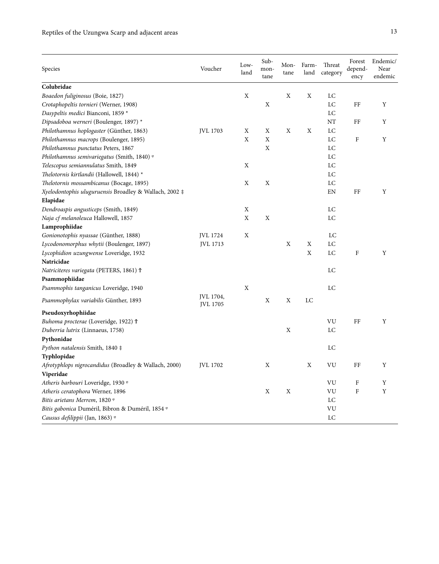| Species                                                | Voucher                      | Low-<br>land | Sub-<br>mon-<br>tane | Mon-<br>tane | Farm-<br>land | Threat<br>category | Forest<br>depend-<br>ency | Endemic/<br>Near<br>endemic |
|--------------------------------------------------------|------------------------------|--------------|----------------------|--------------|---------------|--------------------|---------------------------|-----------------------------|
| Colubridae                                             |                              |              |                      |              |               |                    |                           |                             |
| Boaedon fuliginosus (Boie, 1827)                       |                              | X            |                      | Χ            | Χ             | LC                 |                           |                             |
| Crotaphopeltis tornieri (Werner, 1908)                 |                              |              | X                    |              |               | LC                 | FF                        | Y                           |
| Dasypeltis medici Bianconi, 1859 *                     |                              |              |                      |              |               | LC                 |                           |                             |
| Dipsadoboa werneri (Boulenger, 1897) *                 |                              |              |                      |              |               | NT                 | FF                        | Υ                           |
| Philothamnus hoplogaster (Günther, 1863)               | <b>JVL 1703</b>              | X            | X                    | X            | X             | LC                 |                           |                             |
| Philothamnus macrops (Boulenger, 1895)                 |                              | X            | X                    |              |               | LC                 | $\rm F$                   | Y                           |
| Philothamnus punctatus Peters, 1867                    |                              |              | X                    |              |               | LC                 |                           |                             |
| Philothamnus semivariegatus (Smith, 1840) ®            |                              |              |                      |              |               | LC                 |                           |                             |
| Telescopus semiannulatus Smith, 1849                   |                              | X            |                      |              |               | LC                 |                           |                             |
| Thelotornis kirtlandii (Hallowell, 1844) *             |                              |              |                      |              |               | LC                 |                           |                             |
| Thelotornis mossambicanus (Bocage, 1895)               |                              | X            | X                    |              |               | LC                 |                           |                             |
| Xyelodontophis uluguruensis Broadley & Wallach, 2002 ‡ |                              |              |                      |              |               | EN                 | FF                        | Y                           |
| Elapidae                                               |                              |              |                      |              |               |                    |                           |                             |
| Dendroaspis angusticeps (Smith, 1849)                  |                              | X            |                      |              |               | LC                 |                           |                             |
| Naja cf melanoleuca Hallowell, 1857                    |                              | X            | X                    |              |               | LC                 |                           |                             |
| Lamprophiidae                                          |                              |              |                      |              |               |                    |                           |                             |
| Gonionotophis nyassae (Günther, 1888)                  | JVL 1724                     | X            |                      |              |               | LC                 |                           |                             |
| Lycodonomorphus whytii (Boulenger, 1897)               | JVL 1713                     |              |                      | X            | Χ             | LC                 |                           |                             |
| Lycophidion uzungwense Loveridge, 1932                 |                              |              |                      |              | X             | LC                 | $\mathbf F$               | Y                           |
| Natricidae                                             |                              |              |                      |              |               |                    |                           |                             |
| Natriciteres variegata (PETERS, 1861) <sup>†</sup>     |                              |              |                      |              |               | LC                 |                           |                             |
| Psammophiidae                                          |                              |              |                      |              |               |                    |                           |                             |
| Psammophis tanganicus Loveridge, 1940                  |                              | X            |                      |              |               | LC                 |                           |                             |
| Psammophylax variabilis Günther, 1893                  | JVL 1704,<br><b>JVL 1705</b> |              | X                    | X            | LC            |                    |                           |                             |
| Pseudoxyrhophiidae                                     |                              |              |                      |              |               |                    |                           |                             |
| Buhoma procterae (Loveridge, 1922) Ť                   |                              |              |                      |              |               | VU                 | FF                        | Y                           |
| Duberria lutrix (Linnaeus, 1758)                       |                              |              |                      | X            |               | LC                 |                           |                             |
| Pythonidae                                             |                              |              |                      |              |               |                    |                           |                             |
| Python natalensis Smith, 1840 ‡                        |                              |              |                      |              |               | LC                 |                           |                             |
| Typhlopidae                                            |                              |              |                      |              |               |                    |                           |                             |
| Afrotyphlops nigrocandidus (Broadley & Wallach, 2000)  | JVL 1702                     |              | X                    |              | X             | VU                 | FF                        | Y                           |
| Viperidae                                              |                              |              |                      |              |               |                    |                           |                             |
| Atheris barbouri Loveridge, 1930 <sup>®</sup>          |                              |              |                      |              |               | VU                 | F                         | Y                           |
| Atheris ceratophora Werner, 1896                       |                              |              | X                    | X            |               | VU                 | ${\bf F}$                 | Y                           |
| Bitis arietans Merrem, 1820 ®                          |                              |              |                      |              |               | LC                 |                           |                             |
| Bitis gabonica Duméril, Bibron & Duméril, 1854 %       |                              |              |                      |              |               | VU                 |                           |                             |
| Causus defilippii (Jan, 1863) ®                        |                              |              |                      |              |               | LC                 |                           |                             |